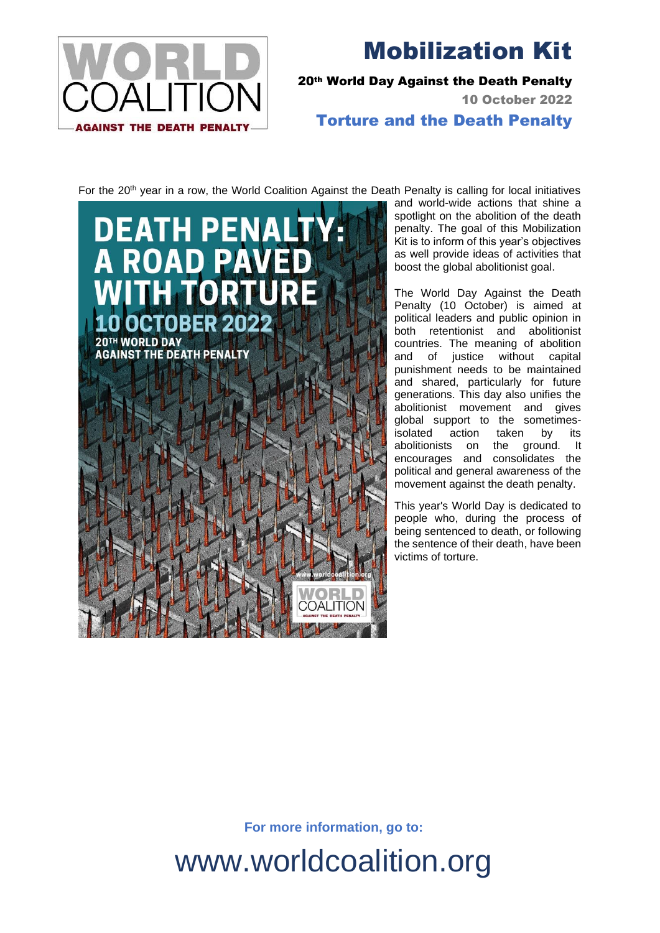

Mobilization Kit

20th World Day Against the Death Penalty

10 October 2022

Torture and the Death Penalty

For the 20<sup>th</sup> year in a row, the World Coalition Against the Death Penalty is calling for local initiatives



and world-wide actions that shine a spotlight on the abolition of the death penalty. The goal of this Mobilization Kit is to inform of this year's objectives as well provide ideas of activities that boost the global abolitionist goal.

The World Day Against the Death Penalty (10 October) is aimed at political leaders and public opinion in both retentionist and abolitionist countries. The meaning of abolition and of justice without capital punishment needs to be maintained and shared, particularly for future generations. This day also unifies the abolitionist movement and gives global support to the sometimesisolated action taken by its abolitionists on the ground. It encourages and consolidates the political and general awareness of the movement against the death penalty.

This year's World Day is dedicated to people who, during the process of being sentenced to death, or following the sentence of their death, have been victims of torture.

**For more information, go to:**

[www.worldcoalition.org](http://www.worldcoalition.org/)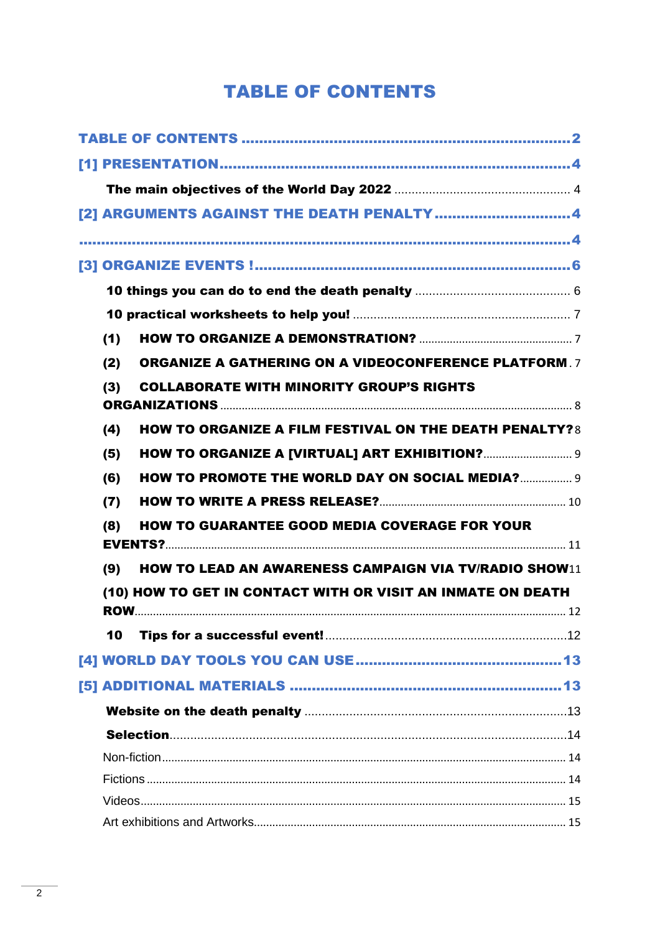## **TABLE OF CONTENTS**

<span id="page-1-0"></span>

|  |     | [2] ARGUMENTS AGAINST THE DEATH PENALTY 4                     |  |  |
|--|-----|---------------------------------------------------------------|--|--|
|  |     |                                                               |  |  |
|  |     |                                                               |  |  |
|  |     |                                                               |  |  |
|  |     |                                                               |  |  |
|  | (1) |                                                               |  |  |
|  | (2) | <b>ORGANIZE A GATHERING ON A VIDEOCONFERENCE PLATFORM.7</b>   |  |  |
|  | (3) | <b>COLLABORATE WITH MINORITY GROUP'S RIGHTS</b>               |  |  |
|  |     |                                                               |  |  |
|  | (4) | <b>HOW TO ORGANIZE A FILM FESTIVAL ON THE DEATH PENALTY?8</b> |  |  |
|  | (5) |                                                               |  |  |
|  | (6) | <b>HOW TO PROMOTE THE WORLD DAY ON SOCIAL MEDIA? 9</b>        |  |  |
|  | (7) |                                                               |  |  |
|  | (8) | <b>HOW TO GUARANTEE GOOD MEDIA COVERAGE FOR YOUR</b>          |  |  |
|  |     |                                                               |  |  |
|  | (9) | <b>HOW TO LEAD AN AWARENESS CAMPAIGN VIA TV/RADIO SHOW11</b>  |  |  |
|  |     | (10) HOW TO GET IN CONTACT WITH OR VISIT AN INMATE ON DEATH   |  |  |
|  |     |                                                               |  |  |
|  | 10  |                                                               |  |  |
|  |     |                                                               |  |  |
|  |     |                                                               |  |  |
|  |     |                                                               |  |  |
|  |     |                                                               |  |  |
|  |     |                                                               |  |  |
|  |     |                                                               |  |  |
|  |     |                                                               |  |  |
|  |     |                                                               |  |  |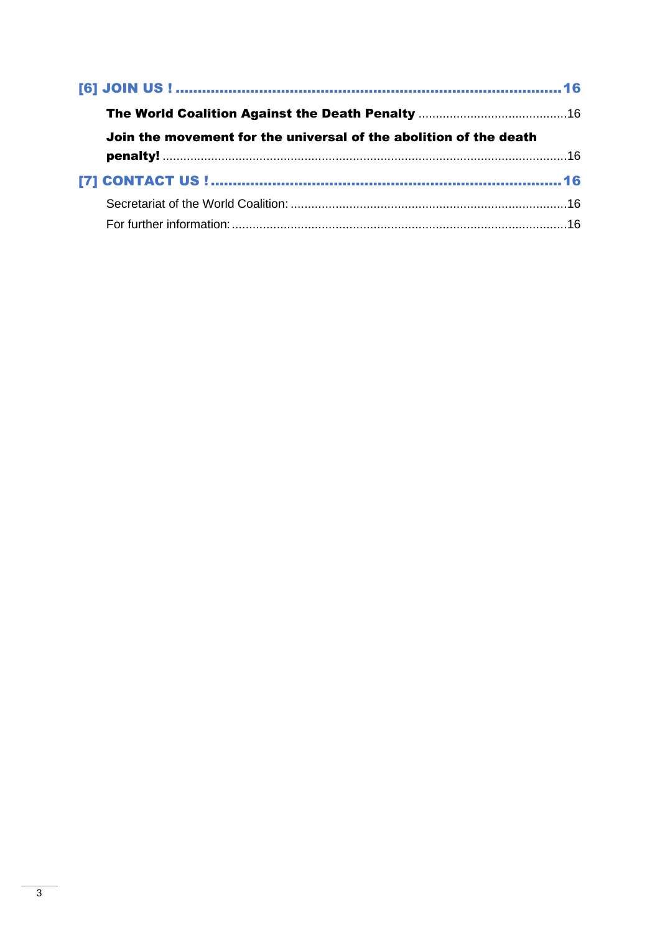| Join the movement for the universal of the abolition of the death |  |  |
|-------------------------------------------------------------------|--|--|
|                                                                   |  |  |
|                                                                   |  |  |
|                                                                   |  |  |
|                                                                   |  |  |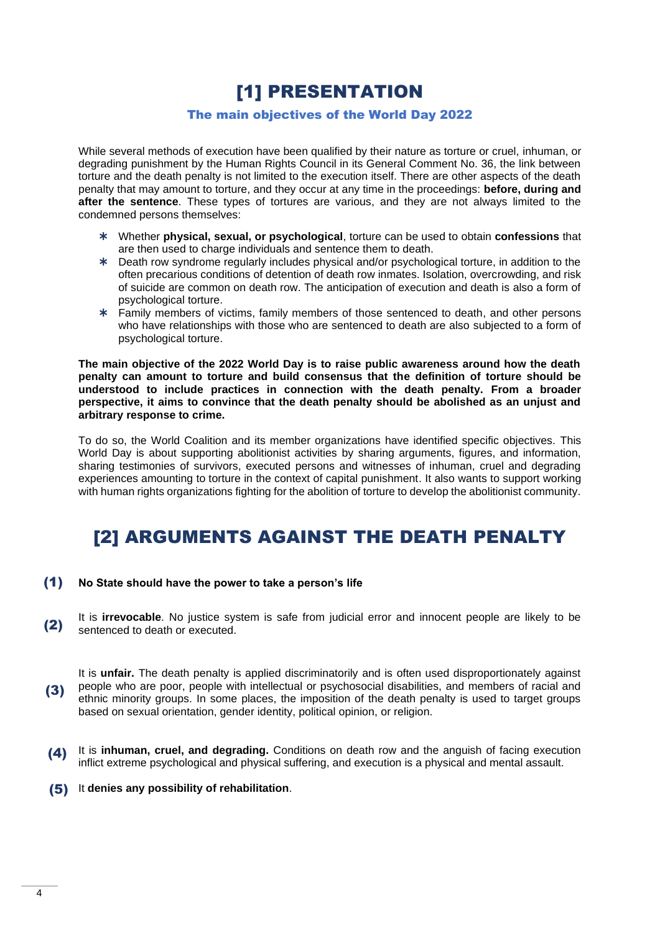[1] PRESENTATION

#### The main objectives of the World Day 2022

<span id="page-3-1"></span><span id="page-3-0"></span>While several methods of execution have been qualified by their nature as torture or cruel, inhuman, or degrading punishment by the Human Rights Council in its General Comment No. 36, the link between torture and the death penalty is not limited to the execution itself. There are other aspects of the death penalty that may amount to torture, and they occur at any time in the proceedings: **before, during and after the sentence**. These types of tortures are various, and they are not always limited to the condemned persons themselves:

- Whether **physical, sexual, or psychological**, torture can be used to obtain **confessions** that are then used to charge individuals and sentence them to death.
- Death row syndrome regularly includes physical and/or psychological torture, in addition to the often precarious conditions of detention of death row inmates. Isolation, overcrowding, and risk of suicide are common on death row. The anticipation of execution and death is also a form of psychological torture.
- Family members of victims, family members of those sentenced to death, and other persons who have relationships with those who are sentenced to death are also subjected to a form of psychological torture.

**The main objective of the 2022 World Day is to raise public awareness around how the death penalty can amount to torture and build consensus that the definition of torture should be understood to include practices in connection with the death penalty. From a broader perspective, it aims to convince that the death penalty should be abolished as an unjust and arbitrary response to crime.**

To do so, the World Coalition and its member organizations have identified specific objectives. This World Day is about supporting abolitionist activities by sharing arguments, figures, and information, sharing testimonies of survivors, executed persons and witnesses of inhuman, cruel and degrading experiences amounting to torture in the context of capital punishment. It also wants to support working with human rights organizations fighting for the abolition of torture to develop the abolitionist community.

## <span id="page-3-2"></span>[2] ARGUMENTS AGAINST THE DEATH PENALTY

#### <span id="page-3-3"></span>**No State should have the power to take a person's life** (1)

- It is **irrevocable**. No justice system is safe from judicial error and innocent people are likely to be sentenced to death or executed. (2)
- It is **unfair.** The death penalty is applied discriminatorily and is often used disproportionately against people who are poor, people with intellectual or psychosocial disabilities, and members of racial and ethnic minority groups. In some places, the imposition of the death penalty is used to target groups based on sexual orientation, gender identity, political opinion, or religion. (3)
- (4) It is inhuman, cruel, and degrading. Conditions on death row and the anguish of facing execution inflict extreme psychological and physical suffering, and execution is a physical and mental assault.
- **(5)** It denies any possibility of rehabilitation.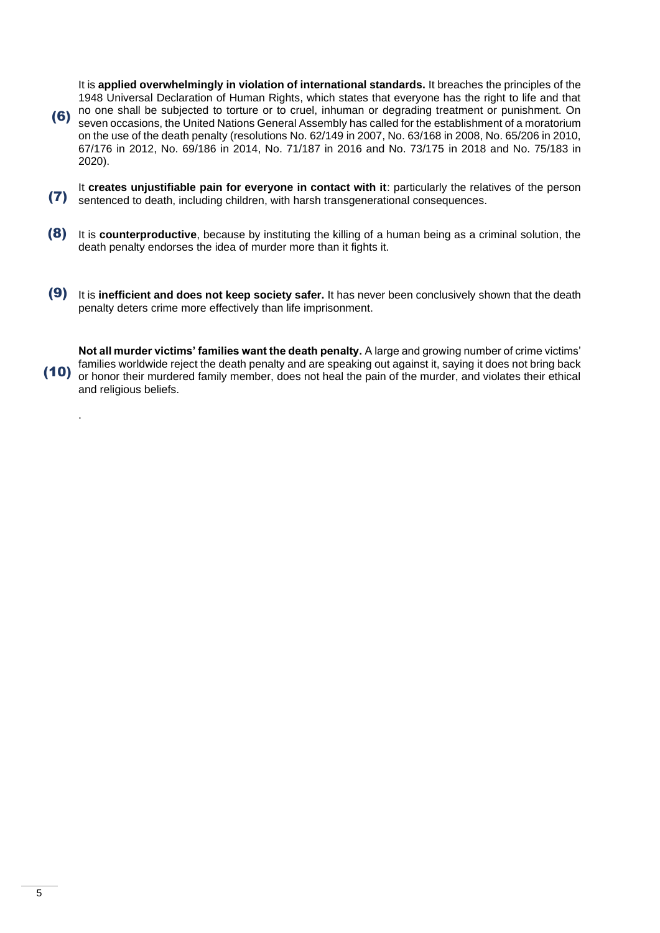It is **applied overwhelmingly in violation of international standards.** It breaches the principles of the 1948 Universal Declaration of Human Rights, which states that everyone has the right to life and that no one shall be subjected to torture or to cruel, inhuman or degrading treatment or punishment. On (6)seven occasions, the United Nations General Assembly has called for the establishment of a moratorium on the use of the death penalty (resolutions No. 62/149 in 2007, No. 63/168 in 2008, No. 65/206 in 2010, 67/176 in 2012, No. 69/186 in 2014, No. 71/187 in 2016 and No. 73/175 in 2018 and No. 75/183 in 2020).

- It **creates unjustifiable pain for everyone in contact with it**: particularly the relatives of the person sentenced to death, including children, with harsh transgenerational consequences. (7)
- **(8)** It is counterproductive, because by instituting the killing of a human being as a criminal solution, the death penalty endorses the idea of murder more than it fights it.
- (9) It is inefficient and does not keep society safer. It has never been conclusively shown that the death penalty deters crime more effectively than life imprisonment.

**Not all murder victims' families want the death penalty.** A large and growing number of crime victims' families worldwide reject the death penalty and are speaking out against it, saying it does not bring back or honor their murdered family member, does not heal the pain of the murder, and violates their ethical and religious beliefs. (10)

.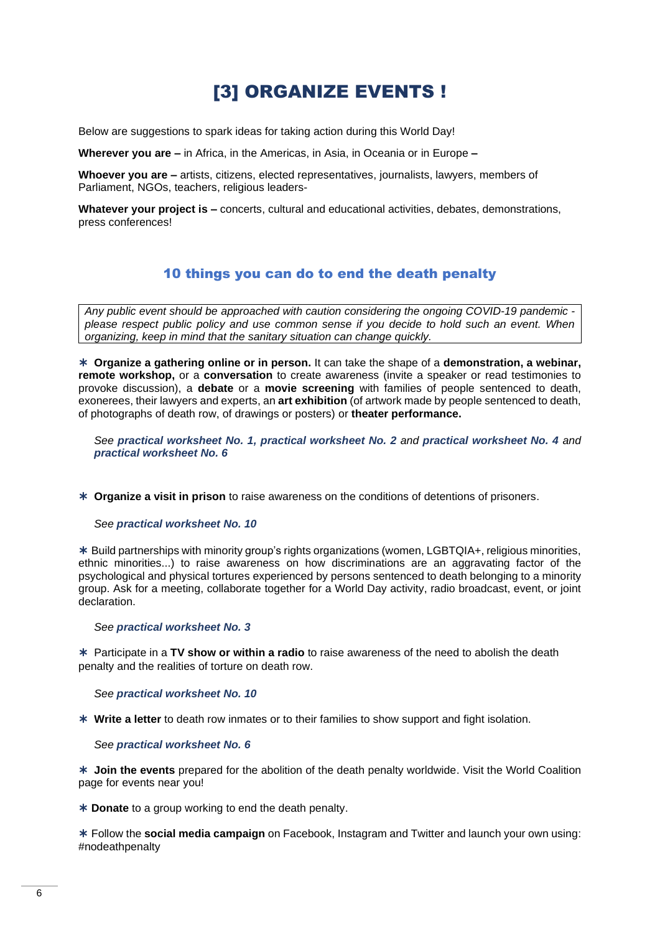## [3] ORGANIZE EVENTS !

<span id="page-5-0"></span>Below are suggestions to spark ideas for taking action during this World Day!

**Wherever you are –** in Africa, in the Americas, in Asia, in Oceania or in Europe **–**

**Whoever you are –** artists, citizens, elected representatives, journalists, lawyers, members of Parliament, NGOs, teachers, religious leaders-

**Whatever your project is –** concerts, cultural and educational activities, debates, demonstrations, press conferences!

### 10 things you can do to end the death penalty

<span id="page-5-1"></span>*Any public event should be approached with caution considering the ongoing COVID-19 pandemic please respect public policy and use common sense if you decide to hold such an event. When organizing, keep in mind that the sanitary situation can change quickly.* 

 **Organize a gathering online or in person.** It can take the shape of a **demonstration, a webinar, remote workshop,** or a **conversation** to create awareness (invite a speaker or read testimonies to provoke discussion), a **debate** or a **movie screening** with families of people sentenced to death, exonerees, their lawyers and experts, an **art exhibition** (of artwork made by people sentenced to death, of photographs of death row, of drawings or posters) or **theater performance.**

*See practical worksheet No. 1, practical worksheet No. 2 and practical worksheet No. 4 and practical worksheet No. 6*

**Organize a visit in prison** to raise awareness on the conditions of detentions of prisoners.

*See practical worksheet No. 10*

 Build partnerships with minority group's rights organizations (women, LGBTQIA+, religious minorities, ethnic minorities...) to raise awareness on how discriminations are an aggravating factor of the psychological and physical tortures experienced by persons sentenced to death belonging to a minority group. Ask for a meeting, collaborate together for a World Day activity, radio broadcast, event, or joint declaration.

*See practical worksheet No. 3*

 Participate in a **TV show or within a radio** to raise awareness of the need to abolish the death penalty and the realities of torture on death row.

*See practical worksheet No. 10*

**Write a letter** to death row inmates or to their families to show support and fight isolation.

*See practical worksheet No. 6*

 **Join the events** prepared for the abolition of the death penalty worldwide. Visit the World Coalition page for events near you!

**Donate** to a group working to end the death penalty.

 Follow the **social media campaign** on Facebook, Instagram and Twitter and launch your own using: #nodeathpenalty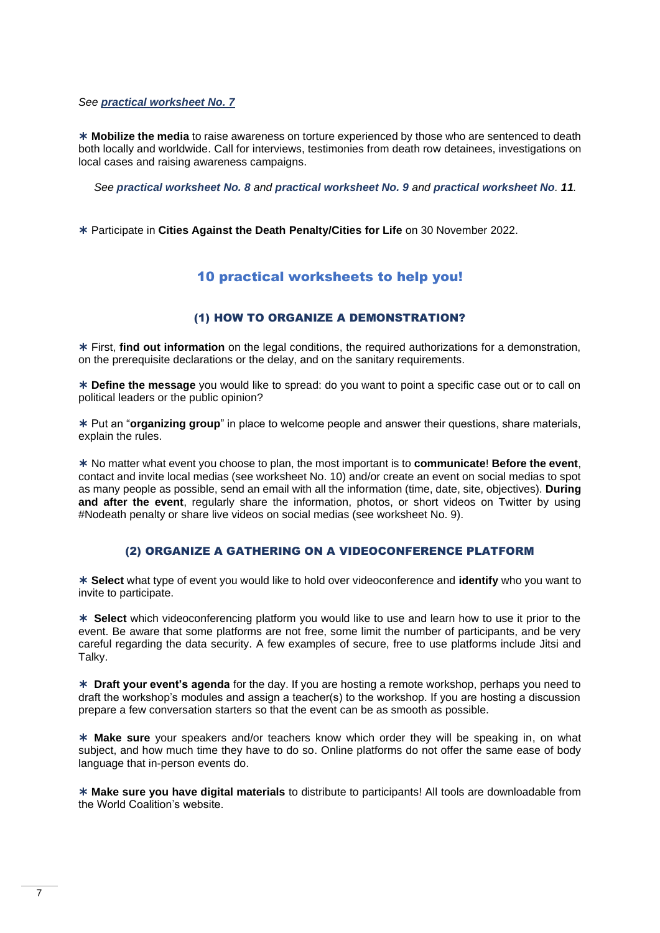*See practical worksheet No. 7*\*

 **Mobilize the media** to raise awareness on torture experienced by those who are sentenced to death both locally and worldwide. Call for interviews, testimonies from death row detainees, investigations on local cases and raising awareness campaigns.

*See practical worksheet No. 8 and practical worksheet No. 9 and practical worksheet No. 11.*

<span id="page-6-0"></span>Participate in **Cities Against the Death Penalty/Cities for Life** on 30 November 2022.

## 10 practical worksheets to help you!

### (1) HOW TO ORGANIZE A DEMONSTRATION?

<span id="page-6-1"></span> First, **find out information** on the legal conditions, the required authorizations for a demonstration, on the prerequisite declarations or the delay, and on the sanitary requirements.

 **Define the message** you would like to spread: do you want to point a specific case out or to call on political leaders or the public opinion?

 Put an "**organizing group**" in place to welcome people and answer their questions, share materials, explain the rules.

 No matter what event you choose to plan, the most important is to **communicate**! **Before the event**, contact and invite local medias (see worksheet No. 10) and/or create an event on social medias to spot as many people as possible, send an email with all the information (time, date, site, objectives). **During and after the event**, regularly share the information, photos, or short videos on Twitter by using #Nodeath penalty or share live videos on social medias (see worksheet No. 9).

#### (2) ORGANIZE A GATHERING ON A VIDEOCONFERENCE PLATFORM

<span id="page-6-2"></span> **Select** what type of event you would like to hold over videoconference and **identify** who you want to invite to participate.

 **Select** which videoconferencing platform you would like to use and learn how to use it prior to the event. Be aware that some platforms are not free, some limit the number of participants, and be very careful regarding the data security. A few examples of secure, free to use platforms include Jitsi and Talky.

 **Draft your event's agenda** for the day. If you are hosting a remote workshop, perhaps you need to draft the workshop's modules and assign a teacher(s) to the workshop. If you are hosting a discussion prepare a few conversation starters so that the event can be as smooth as possible.

 **Make sure** your speakers and/or teachers know which order they will be speaking in, on what subject, and how much time they have to do so. Online platforms do not offer the same ease of body language that in-person events do.

 **Make sure you have digital materials** to distribute to participants! All tools are downloadable from the World Coalition's website.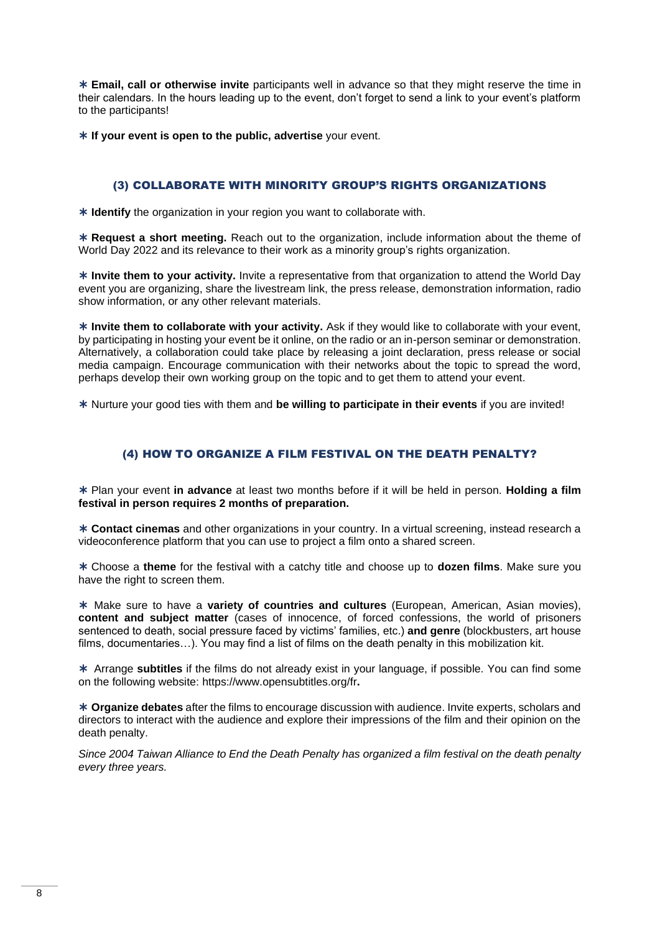**Email, call or otherwise invite** participants well in advance so that they might reserve the time in their calendars. In the hours leading up to the event, don't forget to send a link to your event's platform to the participants!

**If your event is open to the public, advertise** your event.

### (3) COLLABORATE WITH MINORITY GROUP'S RIGHTS ORGANIZATIONS

<span id="page-7-0"></span>**Identify** the organization in your region you want to collaborate with.

 **Request a short meeting.** Reach out to the organization, include information about the theme of World Day 2022 and its relevance to their work as a minority group's rights organization.

 **Invite them to your activity.** Invite a representative from that organization to attend the World Day event you are organizing, share the livestream link, the press release, demonstration information, radio show information, or any other relevant materials.

**Invite them to collaborate with your activity.** Ask if they would like to collaborate with your event, by participating in hosting your event be it online, on the radio or an in-person seminar or demonstration. Alternatively, a collaboration could take place by releasing a joint declaration, press release or social media campaign. Encourage communication with their networks about the topic to spread the word, perhaps develop their own working group on the topic and to get them to attend your event.

Nurture your good ties with them and **be willing to participate in their events** if you are invited!

### (4) HOW TO ORGANIZE A FILM FESTIVAL ON THE DEATH PENALTY?

<span id="page-7-1"></span> Plan your event **in advance** at least two months before if it will be held in person. **Holding a film festival in person requires 2 months of preparation.** 

 **Contact cinemas** and other organizations in your country. In a virtual screening, instead research a videoconference platform that you can use to project a film onto a shared screen.

 Choose a **theme** for the festival with a catchy title and choose up to **dozen films**. Make sure you have the right to screen them.

 Make sure to have a **variety of countries and cultures** (European, American, Asian movies), **content and subject matter** (cases of innocence, of forced confessions, the world of prisoners sentenced to death, social pressure faced by victims' families, etc.) **and genre** (blockbusters, art house films, documentaries…). You may find a list of films on the death penalty in this mobilization kit.

 Arrange **subtitles** if the films do not already exist in your language, if possible. You can find some on the following website:<https://www.opensubtitles.org/fr>**.**

 **Organize debates** after the films to encourage discussion with audience. Invite experts, scholars and directors to interact with the audience and explore their impressions of the film and their opinion on the death penalty.

*Since 2004 Taiwan Alliance to End the Death Penalty has organized a film festival on the death penalty every three years.*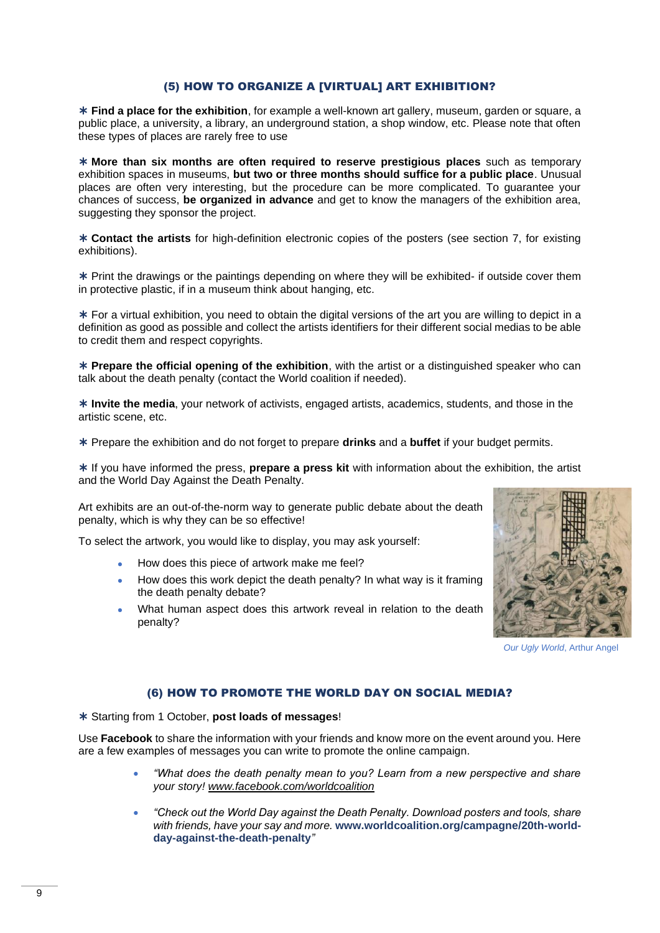#### (5) HOW TO ORGANIZE A [VIRTUAL] ART EXHIBITION?

<span id="page-8-0"></span> **Find a place for the exhibition**, for example a well-known art gallery, museum, garden or square, a public place, a university, a library, an underground station, a shop window, etc. Please note that often these types of places are rarely free to use

 **More than six months are often required to reserve prestigious places** such as temporary exhibition spaces in museums, **but two or three months should suffice for a public place**. Unusual places are often very interesting, but the procedure can be more complicated. To guarantee your chances of success, **be organized in advance** and get to know the managers of the exhibition area, suggesting they sponsor the project.

 **Contact the artists** for high-definition electronic copies of the posters (see section 7, for existing exhibitions).

 Print the drawings or the paintings depending on where they will be exhibited- if outside cover them in protective plastic, if in a museum think about hanging, etc.

 For a virtual exhibition, you need to obtain the digital versions of the art you are willing to depict in a definition as good as possible and collect the artists identifiers for their different social medias to be able to credit them and respect copyrights.

 **Prepare the official opening of the exhibition**, with the artist or a distinguished speaker who can talk about the death penalty (contact the World coalition if needed).

 **Invite the media**, your network of activists, engaged artists, academics, students, and those in the artistic scene, etc.

Prepare the exhibition and do not forget to prepare **drinks** and a **buffet** if your budget permits.

 If you have informed the press, **prepare a press kit** with information about the exhibition, the artist and the World Day Against the Death Penalty.

Art exhibits are an out-of-the-norm way to generate public debate about the death penalty, which is why they can be so effective!

To select the artwork, you would like to display, you may ask yourself:

- How does this piece of artwork make me feel?
- How does this work depict the death penalty? In what way is it framing the death penalty debate?
- What human aspect does this artwork reveal in relation to the death penalty?



*Our Ugly World*, Arthur Angel

#### (6) HOW TO PROMOTE THE WORLD DAY ON SOCIAL MEDIA?

<span id="page-8-1"></span>Starting from 1 October, **post loads of messages**!

Use **Facebook** to share the information with your friends and know more on the event around you. Here are a few examples of messages you can write to promote the online campaign.

- *"What does the death penalty mean to you? Learn from a new perspective and share your story! [www.facebook.com/worldcoalition](http://www.facebook.com/worldcoalition)*
- *"Check out the World Day against the Death Penalty. Download posters and tools, share with friends, have your say and more.* **[www.worldcoalition.org/campagne/20th-world](https://worldcoalition.org/campagne/19th-world-day-against-the-death-penalty)[day-against-the-death-penalty](https://worldcoalition.org/campagne/19th-world-day-against-the-death-penalty)***"*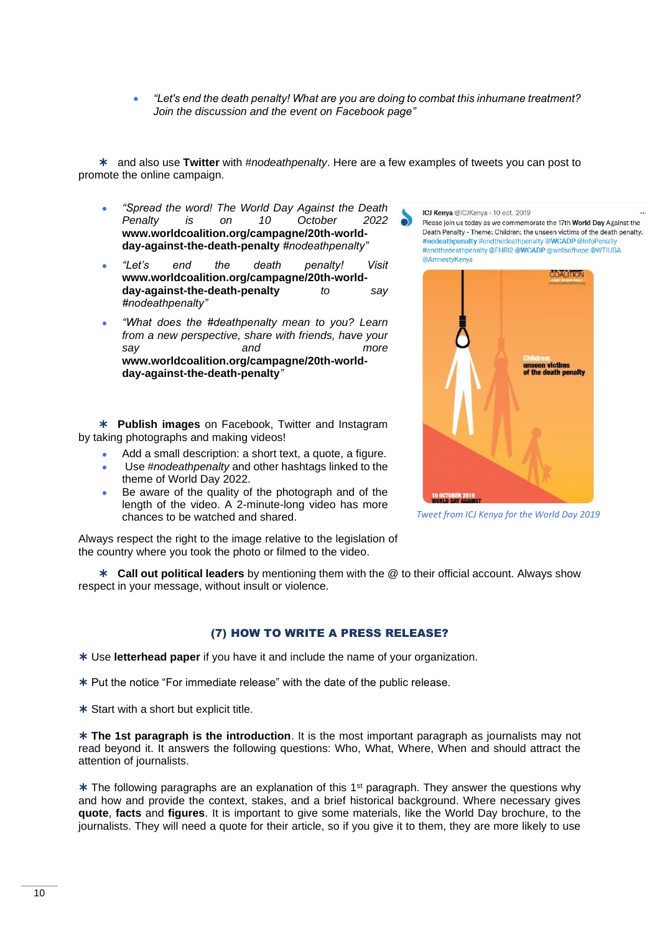• *"Let's end the death penalty! What are you are doing to combat this inhumane treatment? Join the discussion and the event on Facebook page"*

 and also use **Twitter** with *#nodeathpenalty*. Here are a few examples of tweets you can post to promote the online campaign.

- *"Spread the word! The World Day Against the Death Penalty is on 10 October 2022* **[www.worldcoalition.org/campagne/20th-world](http://www.worldcoalition.org/campagne/20th-world-day-against-the-death-penalty)[day-against-the-death-penalty](http://www.worldcoalition.org/campagne/20th-world-day-against-the-death-penalty)** *#nodeathpenalty"*
- *"Let's end the death penalty! Visit*  **[www.worldcoalition.org/campagne/20th-world](http://www.worldcoalition.org/campagne/20th-world-day-against-the-death-penalty)[day-against-the-death-penalty](http://www.worldcoalition.org/campagne/20th-world-day-against-the-death-penalty)** *to say #nodeathpenalty"*
- *"What does the #deathpenalty mean to you? Learn from a new perspective, share with friends, have your say and more*  **[www.worldcoalition.org/campagne/20th-world](http://www.worldcoalition.org/campagne/20th-world-day-against-the-death-penalty)[day-against-the-death-penalty](http://www.worldcoalition.org/campagne/20th-world-day-against-the-death-penalty)***"*

 **Publish images** on Facebook, Twitter and Instagram by taking photographs and making videos!

- Add a small description: a short text, a quote, a figure.
- Use *#nodeathpenalty* and other hashtags linked to the theme of World Day 2022.
- Be aware of the quality of the photograph and of the length of the video. A 2-minute-long video has more chances to be watched and shared.

Always respect the right to the image relative to the legislation of the country where you took the photo or filmed to the video.

 **Call out political leaders** by mentioning them with the @ to their official account. Always show respect in your message, without insult or violence.

#### (7) HOW TO WRITE A PRESS RELEASE?

<span id="page-9-0"></span>Use **letterhead paper** if you have it and include the name of your organization.

- \* Put the notice "For immediate release" with the date of the public release.
- \* Start with a short but explicit title.

 **The 1st paragraph is the introduction**. It is the most important paragraph as journalists may not read beyond it. It answers the following questions: Who, What, Where, When and should attract the attention of journalists.

 $*$  The following paragraphs are an explanation of this 1<sup>st</sup> paragraph. They answer the questions why and how and provide the context, stakes, and a brief historical background. Where necessary gives **quote**, **facts** and **figures**. It is important to give some materials, like the World Day brochure, to the journalists. They will need a quote for their article, so if you give it to them, they are more likely to use

ICJ Kenya @ICJKenya · 10 oct. 2019

Please join us today as we commemorate the 17th World Day Against the Death Penalty - Theme: Children: the unseen victims of the death penalty. #nodeathpenalty #endthedeathpenalty @WCADP @InfoPenalty #endthedeathpenalty @FHRI2 @WCADP @wellsofhope @WTIUSA @AmnestyKenya



*Tweet from ICJ Kenya for the World Day 2019*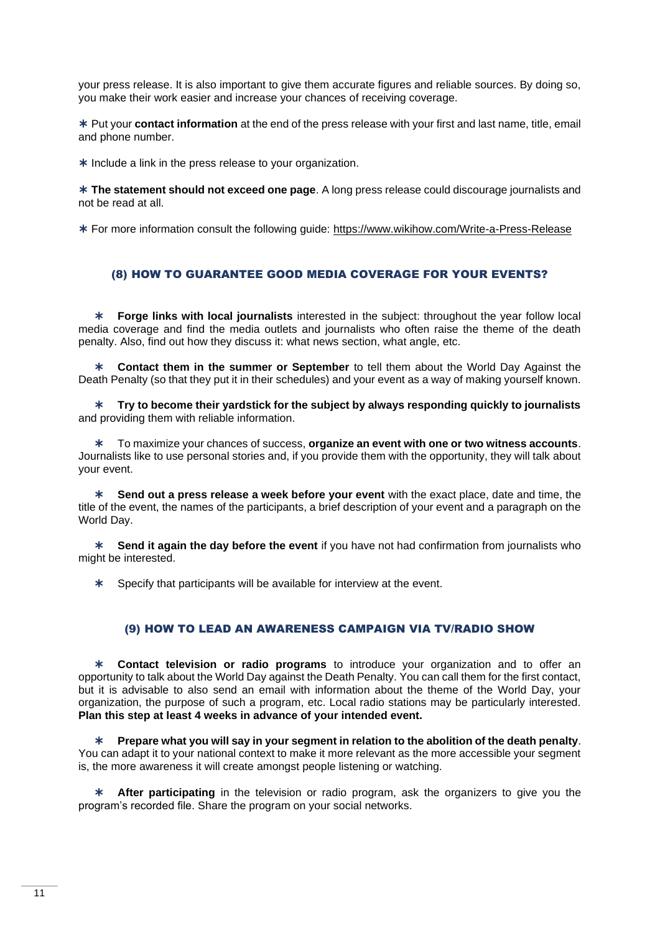your press release. It is also important to give them accurate figures and reliable sources. By doing so, you make their work easier and increase your chances of receiving coverage.

 Put your **contact information** at the end of the press release with your first and last name, title, email and phone number.

\* Include a link in the press release to your organization.

 **The statement should not exceed one page**. A long press release could discourage journalists and not be read at all.

For more information consult the following guide:<https://www.wikihow.com/Write-a-Press-Release>

#### <span id="page-10-0"></span>(8) HOW TO GUARANTEE GOOD MEDIA COVERAGE FOR YOUR EVENTS?

 **Forge links with local journalists** interested in the subject: throughout the year follow local media coverage and find the media outlets and journalists who often raise the theme of the death penalty. Also, find out how they discuss it: what news section, what angle, etc.

 **Contact them in the summer or September** to tell them about the World Day Against the Death Penalty (so that they put it in their schedules) and your event as a way of making yourself known.

 **Try to become their yardstick for the subject by always responding quickly to journalists** and providing them with reliable information.

 To maximize your chances of success, **organize an event with one or two witness accounts**. Journalists like to use personal stories and, if you provide them with the opportunity, they will talk about your event.

 **Send out a press release a week before your event** with the exact place, date and time, the title of the event, the names of the participants, a brief description of your event and a paragraph on the World Day.

 **Send it again the day before the event** if you have not had confirmation from journalists who might be interested.

Specify that participants will be available for interview at the event.

### (9) HOW TO LEAD AN AWARENESS CAMPAIGN VIA TV/RADIO SHOW

<span id="page-10-1"></span> **Contact television or radio programs** to introduce your organization and to offer an opportunity to talk about the World Day against the Death Penalty. You can call them for the first contact, but it is advisable to also send an email with information about the theme of the World Day, your organization, the purpose of such a program, etc. Local radio stations may be particularly interested. **Plan this step at least 4 weeks in advance of your intended event.**

 **Prepare what you will say in your segment in relation to the abolition of the death penalty**. You can adapt it to your national context to make it more relevant as the more accessible your segment is, the more awareness it will create amongst people listening or watching.

 **After participating** in the television or radio program, ask the organizers to give you the program's recorded file. Share the program on your social networks.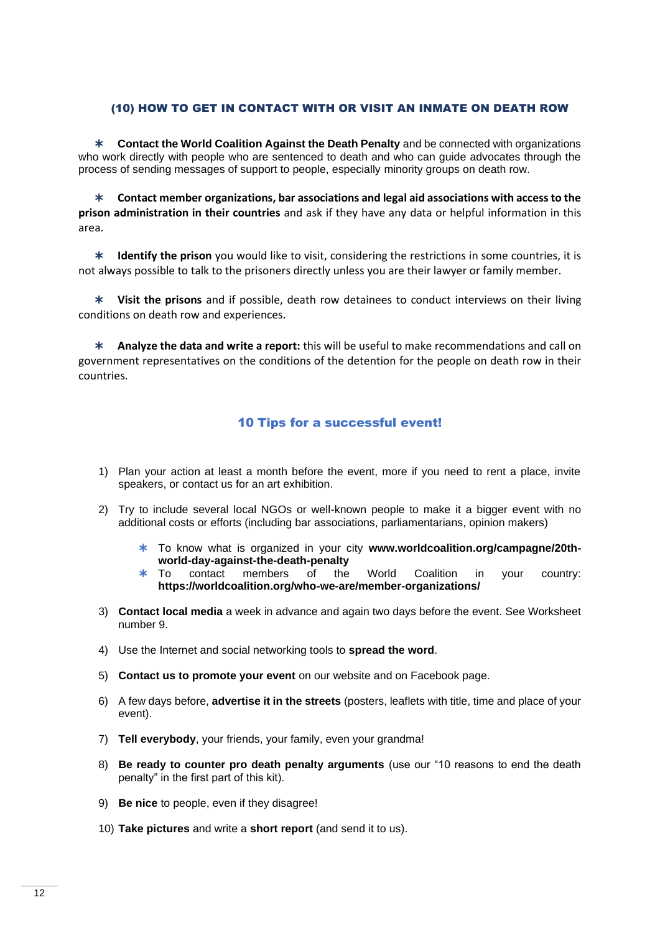### <span id="page-11-0"></span>(10) HOW TO GET IN CONTACT WITH OR VISIT AN INMATE ON DEATH ROW

 **Contact the World Coalition Against the Death Penalty** and be connected with organizations who work directly with people who are sentenced to death and who can guide advocates through the process of sending messages of support to people, especially minority groups on death row.

 **Contact member organizations, bar associations and legal aid associations with access to the prison administration in their countries** and ask if they have any data or helpful information in this area.

 **Identify the prison** you would like to visit, considering the restrictions in some countries, it is not always possible to talk to the prisoners directly unless you are their lawyer or family member.

 **Visit the prisons** and if possible, death row detainees to conduct interviews on their living conditions on death row and experiences.

 **Analyze the data and write a report:** this will be useful to make recommendations and call on government representatives on the conditions of the detention for the people on death row in their countries.

### 10 Tips for a successful event!

- <span id="page-11-1"></span>1) Plan your action at least a month before the event, more if you need to rent a place, invite speakers, or contact us for an art exhibition.
- 2) Try to include several local NGOs or well-known people to make it a bigger event with no additional costs or efforts (including bar associations, parliamentarians, opinion makers)
	- To know what is organized in your city **[www.worldcoalition.org/campagne/20th](http://www.worldcoalition.org/campagne/20th-world-day-against-the-death-penalty)[world-day-against-the-death-penalty](http://www.worldcoalition.org/campagne/20th-world-day-against-the-death-penalty)**
	- \* To contact members of the World Coalition in your country: **<https://worldcoalition.org/who-we-are/member-organizations/>**
- 3) **Contact local media** a week in advance and again two days before the event. See Worksheet number 9.
- 4) Use the Internet and social networking tools to **spread the word**.
- 5) **Contact us to promote your event** on our website and on Facebook page.
- 6) A few days before, **advertise it in the streets** (posters, leaflets with title, time and place of your event).
- 7) **Tell everybody**, your friends, your family, even your grandma!
- 8) **Be ready to counter pro death penalty arguments** (use our "10 reasons to end the death penalty" in the first part of this kit).
- 9) **Be nice** to people, even if they disagree!
- 10) **Take pictures** and write a **short report** (and send it to us).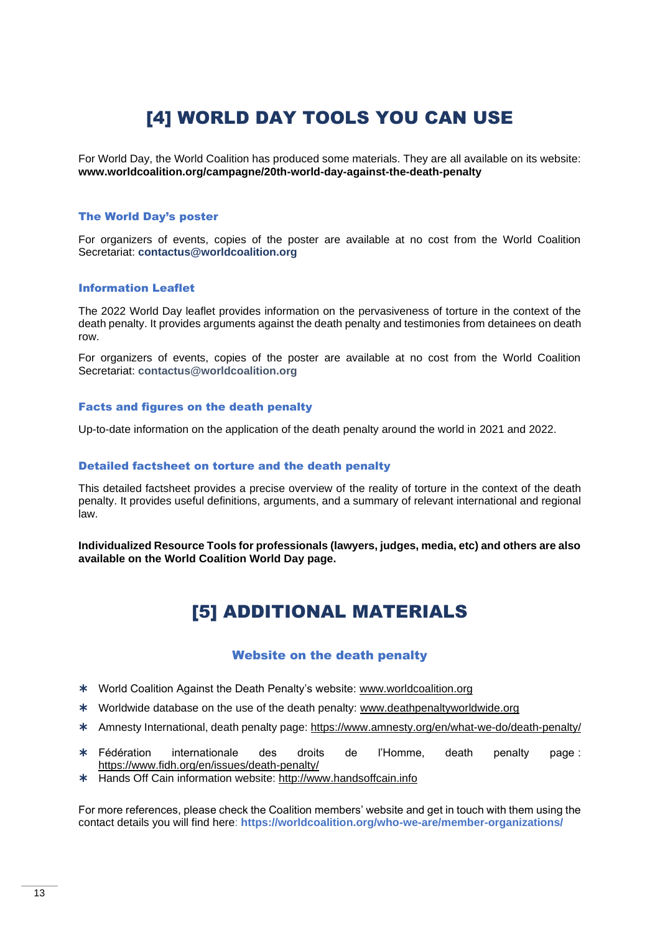## [4] WORLD DAY TOOLS YOU CAN USE

<span id="page-12-0"></span>For World Day, the World Coalition has produced some materials. They are all available on its website: **[www.worldcoalition.org/campagne/20th-world-day-against-the-death-penalty](http://www.worldcoalition.org/campagne/20th-world-day-against-the-death-penalty)**

#### The World Day's poster

For organizers of events, copies of the poster are available at no cost from the World Coalition Secretariat: **[contactus@worldcoalition.org](mailto:contactus@worldcoalition.org)**

#### Information Leaflet

The 2022 World Day leaflet provides information on the pervasiveness of torture in the context of the death penalty. It provides arguments against the death penalty and testimonies from detainees on death row.

For organizers of events, copies of the poster are available at no cost from the World Coalition Secretariat: **[contactus@worldcoalition.org](mailto:contact@worldcoalition.org)**

#### Facts and figures on the death penalty

Up-to-date information on the application of the death penalty around the world in 2021 and 2022.

#### Detailed factsheet on torture and the death penalty

This detailed factsheet provides a precise overview of the reality of torture in the context of the death penalty. It provides useful definitions, arguments, and a summary of relevant international and regional law.

<span id="page-12-1"></span>**Individualized Resource Tools for professionals (lawyers, judges, media, etc) and others are also available on the World Coalition World Day page.**

## [5] ADDITIONAL MATERIALS

### Website on the death penalty

- <span id="page-12-2"></span>World Coalition Against the Death Penalty's website: [www.worldcoalition.org](http://www.worldcoalition.org/)
- \* Worldwide database on the use of the death penalty: www.deathpenaltyworldwide.org
- Amnesty International, death penalty page:<https://www.amnesty.org/en/what-we-do/death-penalty/>
- Fédération internationale des droits de l'Homme, death penalty page : <https://www.fidh.org/en/issues/death-penalty/>
- Hands Off Cain information website: [http://www.handsoffcain.info](http://www.handsoffcain.info/)

For more references, please check the Coalition members' website and get in touch with them using the contact details you will find here: **<https://worldcoalition.org/who-we-are/member-organizations/>**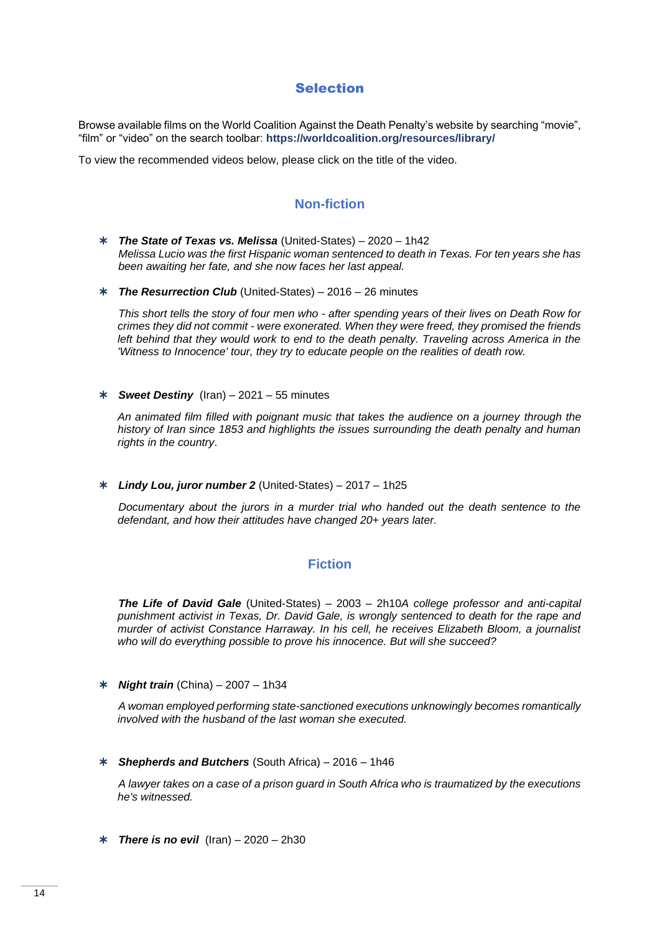## Selection

<span id="page-13-0"></span>Browse available films on the World Coalition Against the Death Penalty's website by searching "movie", "film" or "video" on the search toolbar: **<https://worldcoalition.org/resources/library/>**

<span id="page-13-1"></span>To view the recommended videos below, please click on the title of the video.

## **Non-fiction**

- *[The State of Texas vs. Melissa](https://www.amazon.com/State-Texas-vs-Melissa/dp/B08KGR4K4P)* (United-States) 2020 1h42 *Melissa Lucio was the first Hispanic woman sentenced to death in Texas. For ten years she has been awaiting her fate, and she now faces her last appeal.*
- *[The Resurrection Club](https://www.amazon.com/Surviving-Death-Row-Resurrection-Club/dp/B06W5KX9H7)* (United-States) 2016 26 minutes

*This short tells the story of four men who - after spending years of their lives on Death Row for crimes they did not commit - were exonerated. When they were freed, they promised the friends left behind that they would work to end to the death penalty. Traveling across America in the 'Witness to Innocence' tour, they try to educate people on the realities of death row.*

*[Sweet Destiny](https://iranhr.net/en/articles/4864/)* (Iran) – 2021 – 55 minutes

*An animated film filled with poignant music that takes the audience on a journey through the history of Iran since 1853 and highlights the issues surrounding the death penalty and human rights in the country*.

*[Lindy Lou, juror number 2](https://www.justwatch.com/us/movie/lindy-lou-juror-number-2)* (United-States) – 2017 – 1h25

*Documentary about the jurors in a murder trial who handed out the death sentence to the defendant, and how their attitudes have changed 20+ years later.*

### **Fiction**

<span id="page-13-2"></span>*[The Life of David Gale](https://www.primevideo.com/detail/La-Vie-de-David-Gale/0FO3ABT003AHU7P0XVBM2LXQG9/ref=atv_nb_lcl_en_US?ie=UTF8&_encoding=UTF8)* (United-States) – 2003 – 2h10*A college professor and anti-capital punishment activist in Texas, Dr. David Gale, is wrongly sentenced to death for the rape and murder of activist Constance Harraway. In his cell, he receives Elizabeth Bloom, a journalist who will do everything possible to prove his innocence. But will she succeed?*

*[Night train](https://www.filmingo.ch/fr/films/183-)* (China) – 2007 – 1h34

*A woman employed performing state-sanctioned executions unknowingly becomes romantically involved with the husband of the last woman she executed.*

*[Shepherds and Butchers](https://www.justwatch.com/us/movie/shepherds-and-butchers)* (South Africa) – 2016 – 1h46

*A lawyer takes on a case of a prison guard in South Africa who is traumatized by the executions he's witnessed.*

*[There is no evil](https://www.amazon.com/There-No-Evil-Ehsan-Mirhosseini/dp/B097G61L32)* (Iran) – 2020 – 2h30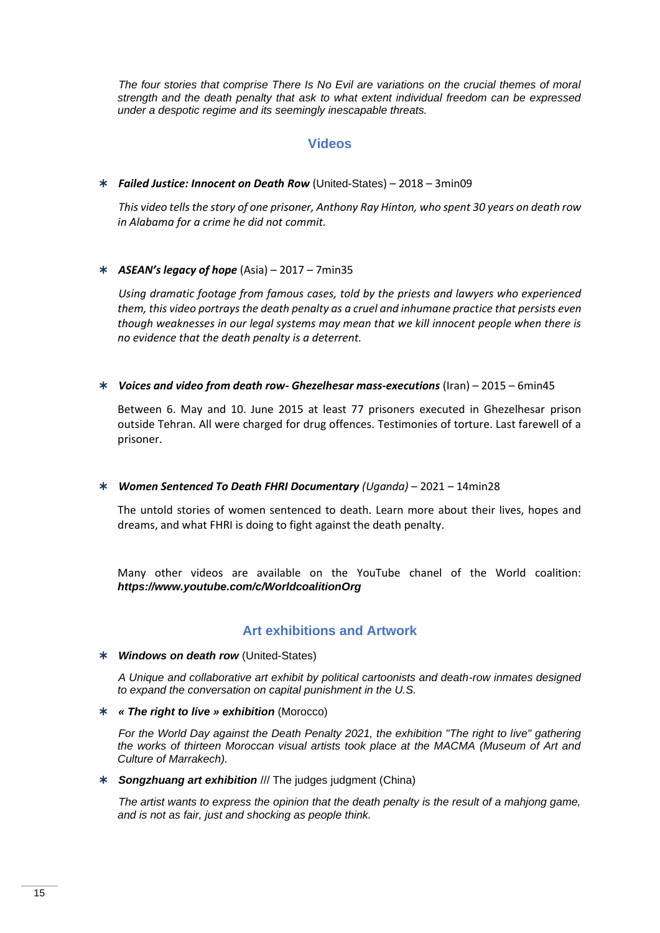*The four stories that comprise There Is No Evil are variations on the crucial themes of moral strength and the death penalty that ask to what extent individual freedom can be expressed under a despotic regime and its seemingly inescapable threats.*

## **Videos**

<span id="page-14-0"></span>*[Failed Justice: Innocent on Death](https://deathpenaltyproject.org/knowledge/failed-justice-innocent-on-death-row/) Row* (United-States) – 2018 – 3min09

*This video tells the story of one prisoner, Anthony Ray Hinton, who spent 30 years on death row in Alabama for a crime he did not commit.*

### *[ASEAN's legacy of hope](https://vimeopro.com/user1368256/endcrimenotlife/video/208502092)* (Asia) – 2017 – 7min35

*Using dramatic footage from famous cases, told by the priests and lawyers who experienced them, this video portrays the death penalty as a cruel and inhumane practice that persists even though weaknesses in our legal systems may mean that we kill innocent people when there is no evidence that the death penalty is a deterrent.*

*[Voices and video from death row-](https://www.youtube.com/watch?v=y_9OlJtkmRQ) Ghezelhesar mass-executions* (Iran) – 2015 – 6min45

Between 6. May and 10. June 2015 at least 77 prisoners executed in Ghezelhesar prison outside Tehran. All were charged for drug offences. Testimonies of torture. Last farewell of a prisoner.

### *[Women Sentenced To Death FHRI Documentary](https://www.youtube.com/watch?v=e0DqCdkI20o) (Uganda)* – 2021 – 14min28

The untold stories of women sentenced to death. Learn more about their lives, hopes and dreams, and what FHRI is doing to fight against the death penalty.

Many other videos are available on the YouTube chanel of the World coalition: *<https://www.youtube.com/c/WorldcoalitionOrg>*

### **Art exhibitions and Artwork**

#### <span id="page-14-1"></span>*[Windows on death row](http://www.windowsondeathrow.com/)* (United-States)

*A Unique and collaborative art exhibit by political cartoonists and death-row inmates designed to expand the conversation on capital punishment in the U.S.*

*« The right to live [» exhibition](https://lobservateur.info/article/101017/culture/-le-droit-de-vivre-une-exposition-et-un-livre-contre-la-peine-de-mort)* (Morocco)

*For the World Day against the Death Penalty 2021, the exhibition "The right to live" gathering the works of thirteen Moroccan visual artists took place at the MACMA (Museum of Art and Culture of Marrakech).*

*[Songzhuang art exhibition](https://twitter.com/chinacadp/status/1449930471421267969?cxt=HHwWgsCioZ2FmJ8oAAAA)* /// The judges judgment (China)

*The artist wants to express the opinion that the death penalty is the result of a mahjong game, and is not as fair, just and shocking as people think.*